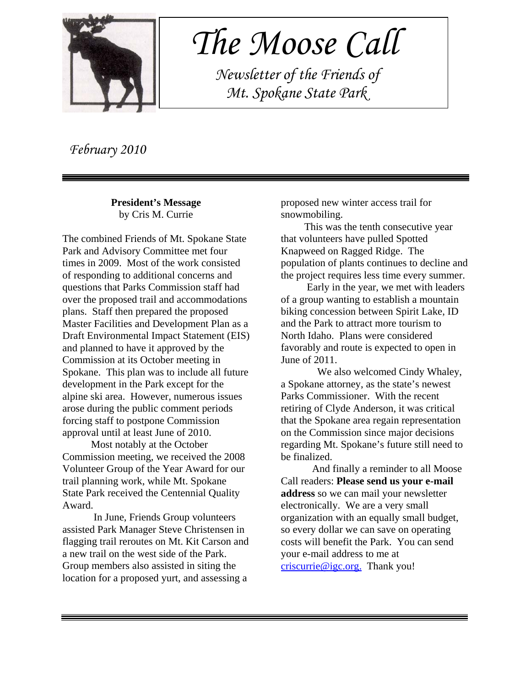

 *The Moose Call*

 *Newsletter of the Friends of Mt. Spokane State Park*

 *February 2010*

**President's Message** by Cris M. Currie

The combined Friends of Mt. Spokane State Park and Advisory Committee met four times in 2009. Most of the work consisted of responding to additional concerns and questions that Parks Commission staff had over the proposed trail and accommodations plans. Staff then prepared the proposed Master Facilities and Development Plan as a Draft Environmental Impact Statement (EIS) and planned to have it approved by the Commission at its October meeting in Spokane. This plan was to include all future development in the Park except for the alpine ski area. However, numerous issues arose during the public comment periods forcing staff to postpone Commission approval until at least June of 2010.

 Most notably at the October Commission meeting, we received the 2008 Volunteer Group of the Year Award for our trail planning work, while Mt. Spokane State Park received the Centennial Quality Award.

In June, Friends Group volunteers assisted Park Manager Steve Christensen in flagging trail reroutes on Mt. Kit Carson and a new trail on the west side of the Park. Group members also assisted in siting the location for a proposed yurt, and assessing a

proposed new winter access trail for snowmobiling.

 This was the tenth consecutive year that volunteers have pulled Spotted Knapweed on Ragged Ridge. The population of plants continues to decline and the project requires less time every summer.

 Early in the year, we met with leaders of a group wanting to establish a mountain biking concession between Spirit Lake, ID and the Park to attract more tourism to North Idaho. Plans were considered favorably and route is expected to open in June of 2011.

 We also welcomed Cindy Whaley, a Spokane attorney, as the state's newest Parks Commissioner. With the recent retiring of Clyde Anderson, it was critical that the Spokane area regain representation on the Commission since major decisions regarding Mt. Spokane's future still need to be finalized.

And finally a reminder to all Moose Call readers: **Please send us your e-mail address** so we can mail your newsletter electronically. We are a very small organization with an equally small budget, so every dollar we can save on operating costs will benefit the Park. You can send your e-mail address to me at criscurrie@igc.org. Thank you!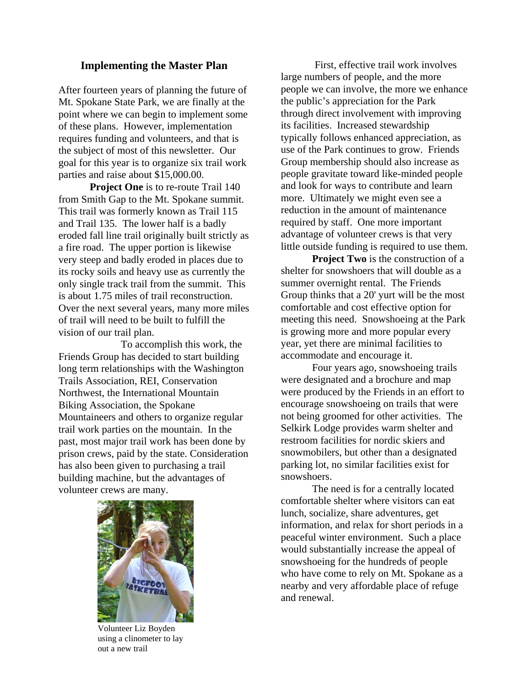#### **Implementing the Master Plan**

After fourteen years of planning the future of Mt. Spokane State Park, we are finally at the point where we can begin to implement some of these plans. However, implementation requires funding and volunteers, and that is the subject of most of this newsletter. Our goal for this year is to organize six trail work parties and raise about \$15,000.00.

**Project One** is to re-route Trail 140 from Smith Gap to the Mt. Spokane summit. This trail was formerly known as Trail 115 and Trail 135. The lower half is a badly eroded fall line trail originally built strictly as a fire road. The upper portion is likewise very steep and badly eroded in places due to its rocky soils and heavy use as currently the only single track trail from the summit. This is about 1.75 miles of trail reconstruction. Over the next several years, many more miles of trail will need to be built to fulfill the vision of our trail plan.

To accomplish this work, the Friends Group has decided to start building long term relationships with the Washington Trails Association, REI, Conservation Northwest, the International Mountain Biking Association, the Spokane Mountaineers and others to organize regular trail work parties on the mountain. In the past, most major trail work has been done by prison crews, paid by the state. Consideration has also been given to purchasing a trail building machine, but the advantages of volunteer crews are many.



Volunteer Liz Boyden using a clinometer to lay out a new trail

 First, effective trail work involves large numbers of people, and the more people we can involve, the more we enhance the public's appreciation for the Park through direct involvement with improving its facilities. Increased stewardship typically follows enhanced appreciation, as use of the Park continues to grow. Friends Group membership should also increase as people gravitate toward like-minded people and look for ways to contribute and learn more. Ultimately we might even see a reduction in the amount of maintenance required by staff. One more important advantage of volunteer crews is that very little outside funding is required to use them.

**Project Two** is the construction of a shelter for snowshoers that will double as a summer overnight rental. The Friends Group thinks that a 20' yurt will be the most comfortable and cost effective option for meeting this need. Snowshoeing at the Park is growing more and more popular every year, yet there are minimal facilities to accommodate and encourage it.

Four years ago, snowshoeing trails were designated and a brochure and map were produced by the Friends in an effort to encourage snowshoeing on trails that were not being groomed for other activities. The Selkirk Lodge provides warm shelter and restroom facilities for nordic skiers and snowmobilers, but other than a designated parking lot, no similar facilities exist for snowshoers.

The need is for a centrally located comfortable shelter where visitors can eat lunch, socialize, share adventures, get information, and relax for short periods in a peaceful winter environment. Such a place would substantially increase the appeal of snowshoeing for the hundreds of people who have come to rely on Mt. Spokane as a nearby and very affordable place of refuge and renewal.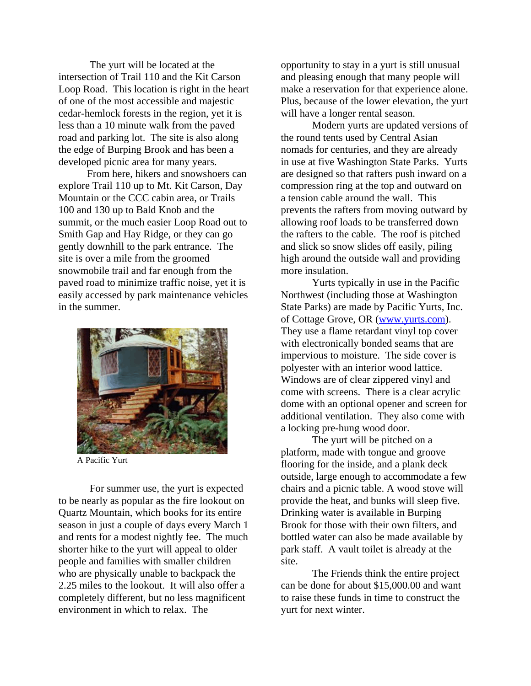The yurt will be located at the intersection of Trail 110 and the Kit Carson Loop Road. This location is right in the heart of one of the most accessible and majestic cedar-hemlock forests in the region, yet it is less than a 10 minute walk from the paved road and parking lot. The site is also along the edge of Burping Brook and has been a developed picnic area for many years.

 From here, hikers and snowshoers can explore Trail 110 up to Mt. Kit Carson, Day Mountain or the CCC cabin area, or Trails 100 and 130 up to Bald Knob and the summit, or the much easier Loop Road out to Smith Gap and Hay Ridge, or they can go gently downhill to the park entrance. The site is over a mile from the groomed snowmobile trail and far enough from the paved road to minimize traffic noise, yet it is easily accessed by park maintenance vehicles in the summer.



A Pacific Yurt

For summer use, the yurt is expected to be nearly as popular as the fire lookout on Quartz Mountain, which books for its entire season in just a couple of days every March 1 and rents for a modest nightly fee. The much shorter hike to the yurt will appeal to older people and families with smaller children who are physically unable to backpack the 2.25 miles to the lookout. It will also offer a completely different, but no less magnificent environment in which to relax. The

opportunity to stay in a yurt is still unusual and pleasing enough that many people will make a reservation for that experience alone. Plus, because of the lower elevation, the yurt will have a longer rental season.

Modern yurts are updated versions of the round tents used by Central Asian nomads for centuries, and they are already in use at five Washington State Parks. Yurts are designed so that rafters push inward on a compression ring at the top and outward on a tension cable around the wall. This prevents the rafters from moving outward by allowing roof loads to be transferred down the rafters to the cable. The roof is pitched and slick so snow slides off easily, piling high around the outside wall and providing more insulation.

Yurts typically in use in the Pacific Northwest (including those at Washington State Parks) are made by Pacific Yurts, Inc. of Cottage Grove, OR (www.yurts.com). They use a flame retardant vinyl top cover with electronically bonded seams that are impervious to moisture. The side cover is polyester with an interior wood lattice. Windows are of clear zippered vinyl and come with screens. There is a clear acrylic dome with an optional opener and screen for additional ventilation. They also come with a locking pre-hung wood door.

The yurt will be pitched on a platform, made with tongue and groove flooring for the inside, and a plank deck outside, large enough to accommodate a few chairs and a picnic table. A wood stove will provide the heat, and bunks will sleep five. Drinking water is available in Burping Brook for those with their own filters, and bottled water can also be made available by park staff. A vault toilet is already at the site.

The Friends think the entire project can be done for about \$15,000.00 and want to raise these funds in time to construct the yurt for next winter.